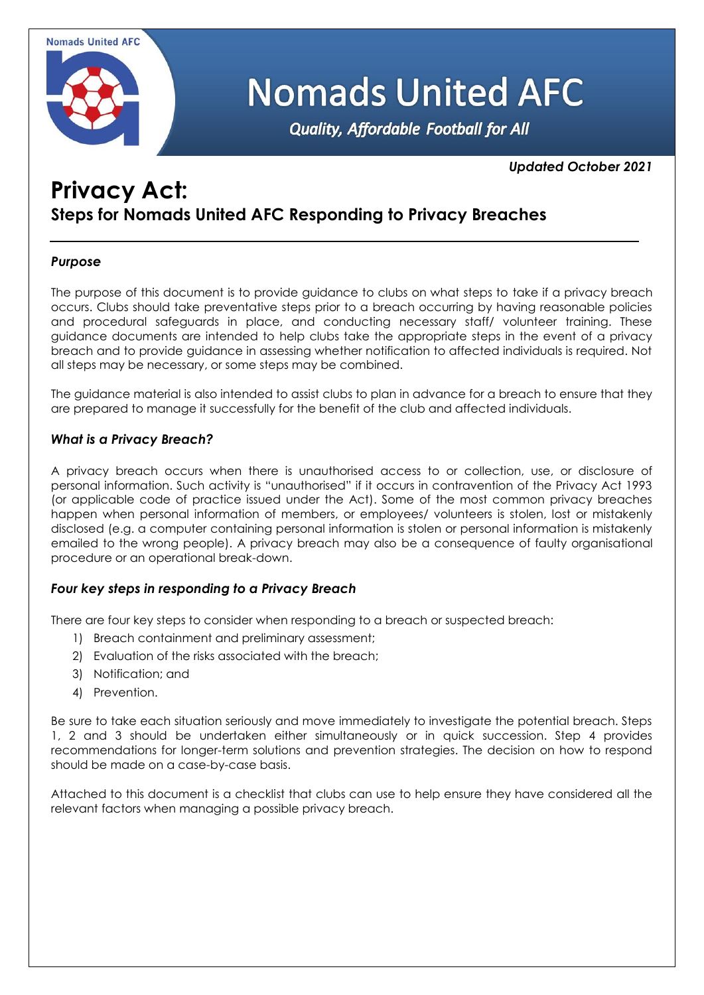

# **Nomads United AFC**

**Quality, Affordable Football for All** 

# *Updated October 2021*

# **Privacy Act: Steps for Nomads United AFC Responding to Privacy Breaches**

# *Purpose*

The purpose of this document is to provide guidance to clubs on what steps to take if a privacy breach occurs. Clubs should take preventative steps prior to a breach occurring by having reasonable policies and procedural safeguards in place, and conducting necessary staff/ volunteer training. These guidance documents are intended to help clubs take the appropriate steps in the event of a privacy breach and to provide guidance in assessing whether notification to affected individuals is required. Not all steps may be necessary, or some steps may be combined.

The guidance material is also intended to assist clubs to plan in advance for a breach to ensure that they are prepared to manage it successfully for the benefit of the club and affected individuals.

# *What is a Privacy Breach?*

A privacy breach occurs when there is unauthorised access to or collection, use, or disclosure of personal information. Such activity is "unauthorised" if it occurs in contravention of the Privacy Act 1993 (or applicable code of practice issued under the Act). Some of the most common privacy breaches happen when personal information of members, or employees/ volunteers is stolen, lost or mistakenly disclosed (e.g. a computer containing personal information is stolen or personal information is mistakenly emailed to the wrong people). A privacy breach may also be a consequence of faulty organisational procedure or an operational break-down.

# *Four key steps in responding to a Privacy Breach*

There are four key steps to consider when responding to a breach or suspected breach:

- 1) Breach containment and preliminary assessment;
- 2) Evaluation of the risks associated with the breach;
- 3) Notification; and
- 4) Prevention.

Be sure to take each situation seriously and move immediately to investigate the potential breach. Steps 1, 2 and 3 should be undertaken either simultaneously or in quick succession. Step 4 provides recommendations for longer-term solutions and prevention strategies. The decision on how to respond should be made on a case-by-case basis.

Attached to this document is a checklist that clubs can use to help ensure they have considered all the relevant factors when managing a possible privacy breach.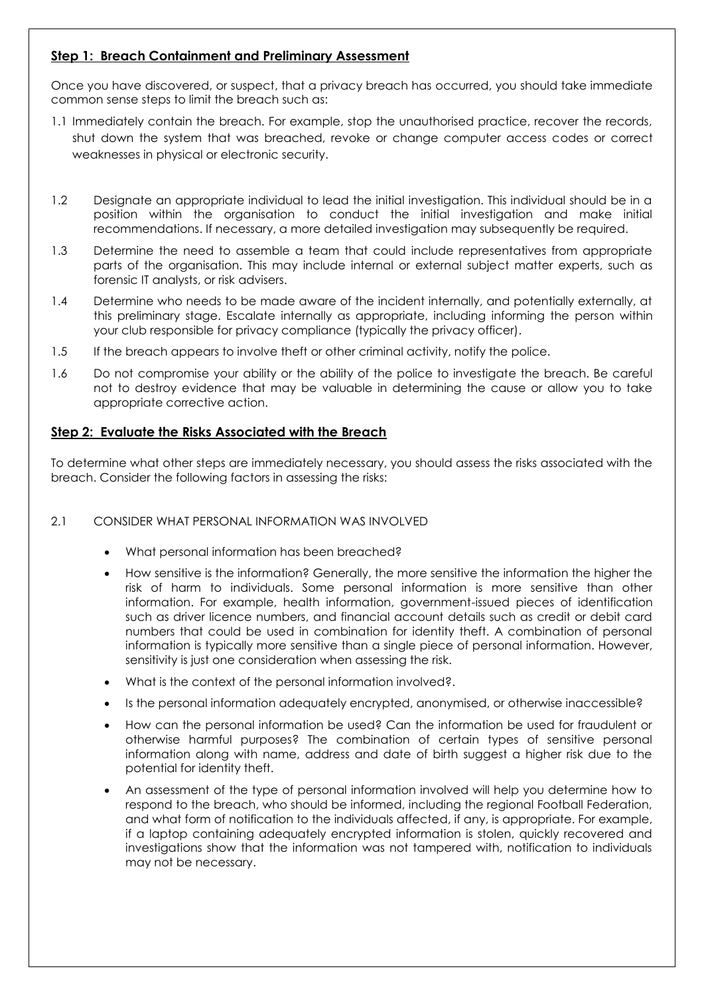# **Step 1: Breach Containment and Preliminary Assessment**

Once you have discovered, or suspect, that a privacy breach has occurred, you should take immediate common sense steps to limit the breach such as:

- 1.1 Immediately contain the breach. For example, stop the unauthorised practice, recover the records, shut down the system that was breached, revoke or change computer access codes or correct weaknesses in physical or electronic security.
- 1.2 Designate an appropriate individual to lead the initial investigation. This individual should be in a position within the organisation to conduct the initial investigation and make initial recommendations. If necessary, a more detailed investigation may subsequently be required.
- 1.3 Determine the need to assemble a team that could include representatives from appropriate parts of the organisation. This may include internal or external subject matter experts, such as forensic IT analysts, or risk advisers.
- 1.4 Determine who needs to be made aware of the incident internally, and potentially externally, at this preliminary stage. Escalate internally as appropriate, including informing the person within your club responsible for privacy compliance (typically the privacy officer).
- 1.5 If the breach appears to involve theft or other criminal activity, notify the police.
- 1.6 Do not compromise your ability or the ability of the police to investigate the breach. Be careful not to destroy evidence that may be valuable in determining the cause or allow you to take appropriate corrective action.

#### **Step 2: Evaluate the Risks Associated with the Breach**

To determine what other steps are immediately necessary, you should assess the risks associated with the breach. Consider the following factors in assessing the risks:

#### 2.1 CONSIDER WHAT PERSONAL INFORMATION WAS INVOLVED

- What personal information has been breached?
- How sensitive is the information? Generally, the more sensitive the information the higher the risk of harm to individuals. Some personal information is more sensitive than other information. For example, health information, government-issued pieces of identification such as driver licence numbers, and financial account details such as credit or debit card numbers that could be used in combination for identity theft. A combination of personal information is typically more sensitive than a single piece of personal information. However, sensitivity is just one consideration when assessing the risk.
- What is the context of the personal information involved?
- Is the personal information adequately encrypted, anonymised, or otherwise inaccessible?
- How can the personal information be used? Can the information be used for fraudulent or otherwise harmful purposes? The combination of certain types of sensitive personal information along with name, address and date of birth suggest a higher risk due to the potential for identity theft.
- An assessment of the type of personal information involved will help you determine how to respond to the breach, who should be informed, including the regional Football Federation, and what form of notification to the individuals affected, if any, is appropriate. For example, if a laptop containing adequately encrypted information is stolen, quickly recovered and investigations show that the information was not tampered with, notification to individuals may not be necessary.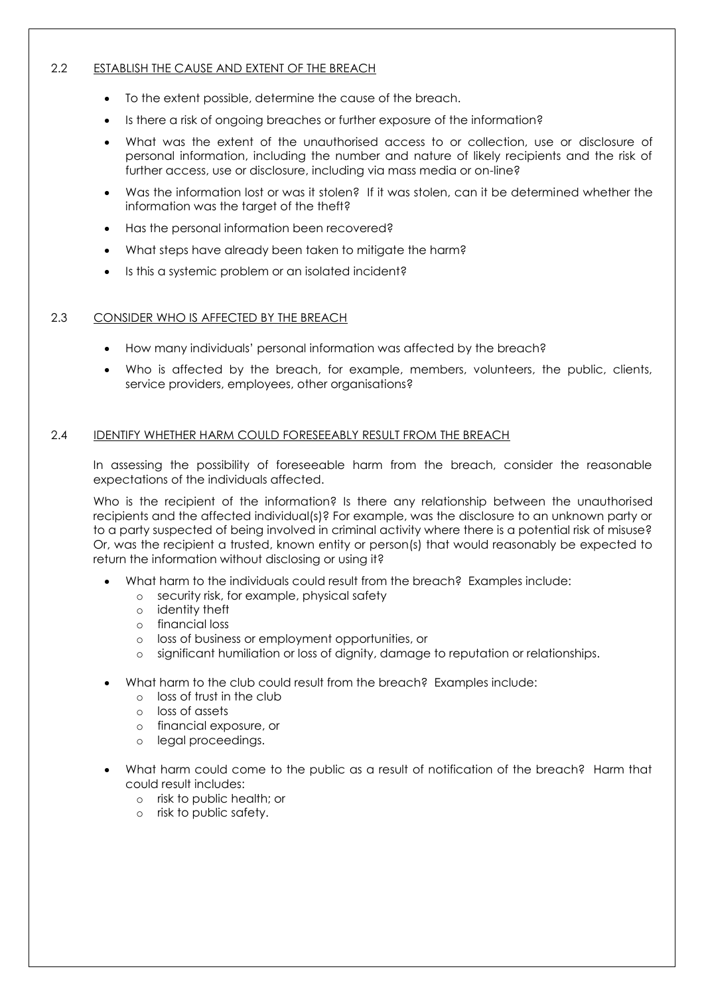#### 2.2 ESTABLISH THE CAUSE AND EXTENT OF THE BREACH

- To the extent possible, determine the cause of the breach.
- Is there a risk of ongoing breaches or further exposure of the information?
- What was the extent of the unauthorised access to or collection, use or disclosure of personal information, including the number and nature of likely recipients and the risk of further access, use or disclosure, including via mass media or on-line?
- Was the information lost or was it stolen? If it was stolen, can it be determined whether the information was the target of the theft?
- Has the personal information been recovered?
- What steps have already been taken to mitigate the harm?
- Is this a systemic problem or an isolated incident?

#### 2.3 CONSIDER WHO IS AFFECTED BY THE BREACH

- How many individuals' personal information was affected by the breach?
- Who is affected by the breach, for example, members, volunteers, the public, clients, service providers, employees, other organisations?

#### 2.4 IDENTIFY WHETHER HARM COULD FORESEEABLY RESULT FROM THE BREACH

In assessing the possibility of foreseeable harm from the breach, consider the reasonable expectations of the individuals affected.

Who is the recipient of the information? Is there any relationship between the unauthorised recipients and the affected individual(s)? For example, was the disclosure to an unknown party or to a party suspected of being involved in criminal activity where there is a potential risk of misuse? Or, was the recipient a trusted, known entity or person(s) that would reasonably be expected to return the information without disclosing or using it?

- What harm to the individuals could result from the breach? Examples include:
	- o security risk, for example, physical safety
	- o identity theft
	- o financial loss
	- o loss of business or employment opportunities, or
	- o significant humiliation or loss of dignity, damage to reputation or relationships.
- What harm to the club could result from the breach? Examples include:
	- o loss of trust in the club
	- o loss of assets
	- o financial exposure, or
	- o legal proceedings.
- What harm could come to the public as a result of notification of the breach? Harm that could result includes:
	- o risk to public health; or
	- o risk to public safety.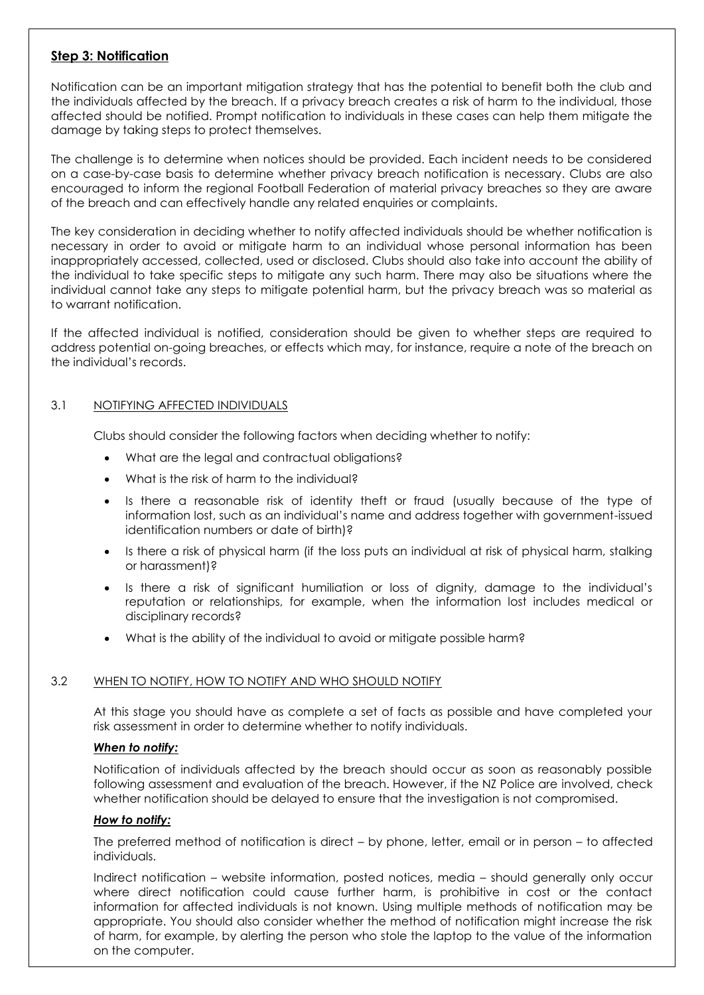# **Step 3: Notification**

Notification can be an important mitigation strategy that has the potential to benefit both the club and the individuals affected by the breach. If a privacy breach creates a risk of harm to the individual, those affected should be notified. Prompt notification to individuals in these cases can help them mitigate the damage by taking steps to protect themselves.

The challenge is to determine when notices should be provided. Each incident needs to be considered on a case-by-case basis to determine whether privacy breach notification is necessary. Clubs are also encouraged to inform the regional Football Federation of material privacy breaches so they are aware of the breach and can effectively handle any related enquiries or complaints.

The key consideration in deciding whether to notify affected individuals should be whether notification is necessary in order to avoid or mitigate harm to an individual whose personal information has been inappropriately accessed, collected, used or disclosed. Clubs should also take into account the ability of the individual to take specific steps to mitigate any such harm. There may also be situations where the individual cannot take any steps to mitigate potential harm, but the privacy breach was so material as to warrant notification.

If the affected individual is notified, consideration should be given to whether steps are required to address potential on-going breaches, or effects which may, for instance, require a note of the breach on the individual's records.

#### 3.1 NOTIFYING AFFECTED INDIVIDUALS

Clubs should consider the following factors when deciding whether to notify:

- What are the legal and contractual obligations?
- What is the risk of harm to the individual?
- Is there a reasonable risk of identity theft or fraud (usually because of the type of information lost, such as an individual's name and address together with government-issued identification numbers or date of birth)?
- Is there a risk of physical harm (if the loss puts an individual at risk of physical harm, stalking or harassment)?
- Is there a risk of significant humiliation or loss of dignity, damage to the individual's reputation or relationships, for example, when the information lost includes medical or disciplinary records?
- What is the ability of the individual to avoid or mitigate possible harm?

#### 3.2 WHEN TO NOTIFY, HOW TO NOTIFY AND WHO SHOULD NOTIFY

At this stage you should have as complete a set of facts as possible and have completed your risk assessment in order to determine whether to notify individuals.

#### *When to notify:*

Notification of individuals affected by the breach should occur as soon as reasonably possible following assessment and evaluation of the breach. However, if the NZ Police are involved, check whether notification should be delayed to ensure that the investigation is not compromised.

#### *How to notify:*

The preferred method of notification is direct – by phone, letter, email or in person – to affected individuals.

Indirect notification – website information, posted notices, media – should generally only occur where direct notification could cause further harm, is prohibitive in cost or the contact information for affected individuals is not known. Using multiple methods of notification may be appropriate. You should also consider whether the method of notification might increase the risk of harm, for example, by alerting the person who stole the laptop to the value of the information on the computer.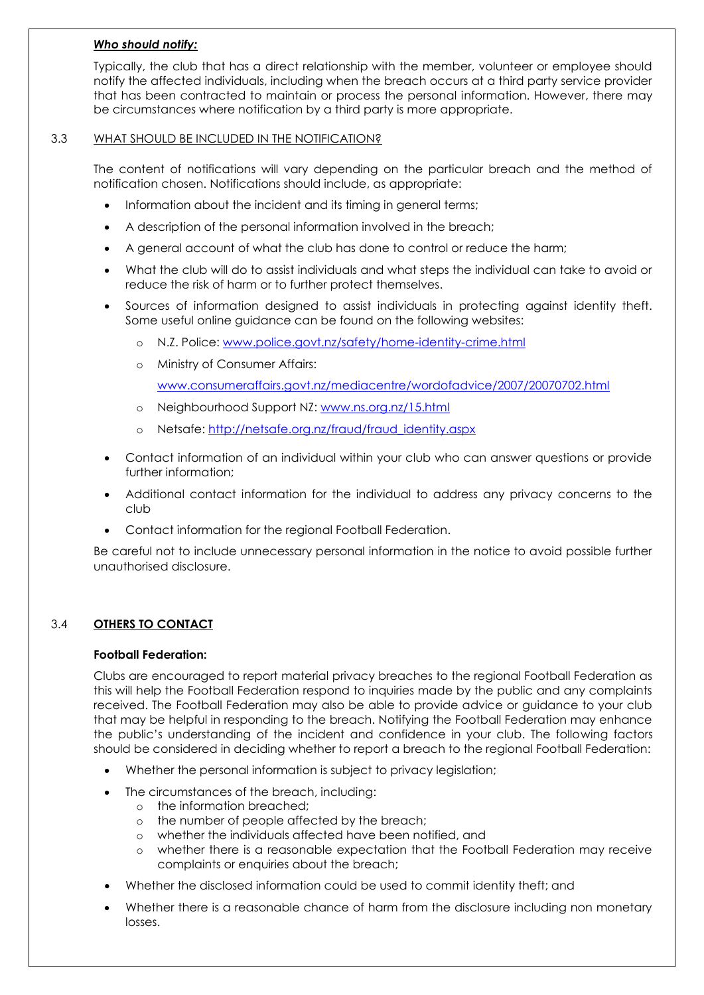#### *Who should notify:*

Typically, the club that has a direct relationship with the member, volunteer or employee should notify the affected individuals, including when the breach occurs at a third party service provider that has been contracted to maintain or process the personal information. However, there may be circumstances where notification by a third party is more appropriate.

#### 3.3 WHAT SHOULD BE INCLUDED IN THE NOTIFICATION?

The content of notifications will vary depending on the particular breach and the method of notification chosen. Notifications should include, as appropriate:

- Information about the incident and its timing in general terms;
- A description of the personal information involved in the breach;
- A general account of what the club has done to control or reduce the harm;
- What the club will do to assist individuals and what steps the individual can take to avoid or reduce the risk of harm or to further protect themselves.
- Sources of information designed to assist individuals in protecting against identity theft. Some useful online guidance can be found on the following websites:
	- o N.Z. Police: [www.police.govt.nz/safety/home-identity-crime.html](http://www.police.govt.nz/safety/home-identity-crime.html)
	- o Ministry of Consumer Affairs:

[www.consumeraffairs.govt.nz/mediacentre/wordofadvice/2007/20070702.html](http://www.consumeraffairs.govt.nz/mediacentre/wordofadvice/2007/20070702.html)

- o Neighbourhood Support NZ: [www.ns.org.nz/15.html](http://www.ns.org.nz/15.html)
- o Netsafe: [http://netsafe.org.nz/fraud/fraud\\_identity.aspx](http://netsafe.org.nz/fraud/fraud_identity.aspx)
- Contact information of an individual within your club who can answer questions or provide further information;
- Additional contact information for the individual to address any privacy concerns to the club
- Contact information for the regional Football Federation.

Be careful not to include unnecessary personal information in the notice to avoid possible further unauthorised disclosure.

#### 3.4 **OTHERS TO CONTACT**

# **Football Federation:**

Clubs are encouraged to report material privacy breaches to the regional Football Federation as this will help the Football Federation respond to inquiries made by the public and any complaints received. The Football Federation may also be able to provide advice or guidance to your club that may be helpful in responding to the breach. Notifying the Football Federation may enhance the public's understanding of the incident and confidence in your club. The following factors should be considered in deciding whether to report a breach to the regional Football Federation:

- Whether the personal information is subject to privacy legislation;
- The circumstances of the breach, including:
	- o the information breached;
	- o the number of people affected by the breach;
	- o whether the individuals affected have been notified, and
	- o whether there is a reasonable expectation that the Football Federation may receive complaints or enquiries about the breach;
- Whether the disclosed information could be used to commit identity theft; and
- Whether there is a reasonable chance of harm from the disclosure including non monetary losses.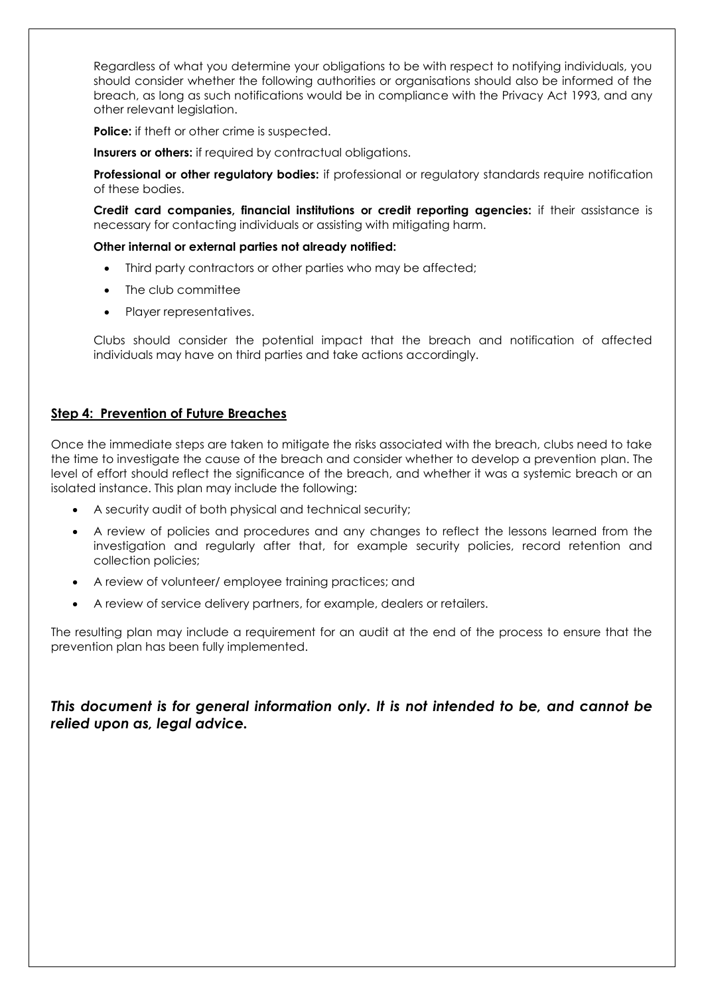Regardless of what you determine your obligations to be with respect to notifying individuals, you should consider whether the following authorities or organisations should also be informed of the breach, as long as such notifications would be in compliance with the Privacy Act 1993, and any other relevant legislation.

**Police:** if theft or other crime is suspected.

**Insurers or others:** if required by contractual obligations.

**Professional or other regulatory bodies:** if professional or regulatory standards require notification of these bodies.

**Credit card companies, financial institutions or credit reporting agencies:** if their assistance is necessary for contacting individuals or assisting with mitigating harm.

#### **Other internal or external parties not already notified:**

- Third party contractors or other parties who may be affected;
- The club committee
- Player representatives.

Clubs should consider the potential impact that the breach and notification of affected individuals may have on third parties and take actions accordingly.

#### **Step 4: Prevention of Future Breaches**

Once the immediate steps are taken to mitigate the risks associated with the breach, clubs need to take the time to investigate the cause of the breach and consider whether to develop a prevention plan. The level of effort should reflect the significance of the breach, and whether it was a systemic breach or an isolated instance. This plan may include the following:

- A security audit of both physical and technical security;
- A review of policies and procedures and any changes to reflect the lessons learned from the investigation and regularly after that, for example security policies, record retention and collection policies;
- A review of volunteer/ employee training practices; and
- A review of service delivery partners, for example, dealers or retailers.

The resulting plan may include a requirement for an audit at the end of the process to ensure that the prevention plan has been fully implemented.

*This document is for general information only. It is not intended to be, and cannot be relied upon as, legal advice.*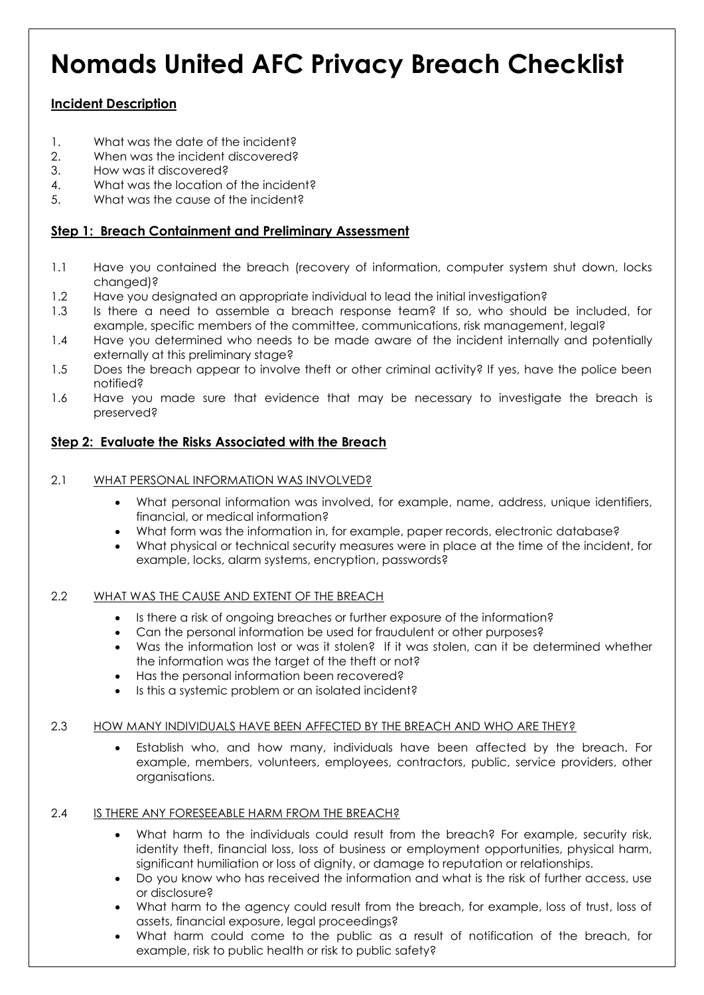# **Nomads United AFC Privacy Breach Checklist**

# **Incident Description**

- 1. What was the date of the incident?
- 2. When was the incident discovered?
- 3. How was it discovered?
- 4. What was the location of the incident?
- 5. What was the cause of the incident?

# **Step 1: Breach Containment and Preliminary Assessment**

- 1.1 Have you contained the breach (recovery of information, computer system shut down, locks changed)?
- 1.2 Have you designated an appropriate individual to lead the initial investigation?
- 1.3 Is there a need to assemble a breach response team? If so, who should be included, for example, specific members of the committee, communications, risk management, legal?
- 1.4 Have you determined who needs to be made aware of the incident internally and potentially externally at this preliminary stage?
- 1.5 Does the breach appear to involve theft or other criminal activity? If yes, have the police been notified?
- 1.6 Have you made sure that evidence that may be necessary to investigate the breach is preserved?

# **Step 2: Evaluate the Risks Associated with the Breach**

#### 2.1 WHAT PERSONAL INFORMATION WAS INVOLVED?

- What personal information was involved, for example, name, address, unique identifiers, financial, or medical information?
- What form was the information in, for example, paper records, electronic database?
- What physical or technical security measures were in place at the time of the incident, for example, locks, alarm systems, encryption, passwords?

#### 2.2 WHAT WAS THE CAUSE AND EXTENT OF THE BREACH

- Is there a risk of ongoing breaches or further exposure of the information?
- Can the personal information be used for fraudulent or other purposes?
- Was the information lost or was it stolen? If it was stolen, can it be determined whether the information was the target of the theft or not?
- Has the personal information been recovered?
- Is this a systemic problem or an isolated incident?

#### 2.3 HOW MANY INDIVIDUALS HAVE BEEN AFFECTED BY THE BREACH AND WHO ARE THEY?

 Establish who, and how many, individuals have been affected by the breach. For example, members, volunteers, employees, contractors, public, service providers, other organisations.

# 2.4 IS THERE ANY FORESEEABLE HARM FROM THE BREACH?

- What harm to the individuals could result from the breach? For example, security risk, identity theft, financial loss, loss of business or employment opportunities, physical harm, significant humiliation or loss of dignity, or damage to reputation or relationships.
- Do you know who has received the information and what is the risk of further access, use or disclosure?
- What harm to the agency could result from the breach, for example, loss of trust, loss of assets, financial exposure, legal proceedings?
- What harm could come to the public as a result of notification of the breach, for example, risk to public health or risk to public safety?